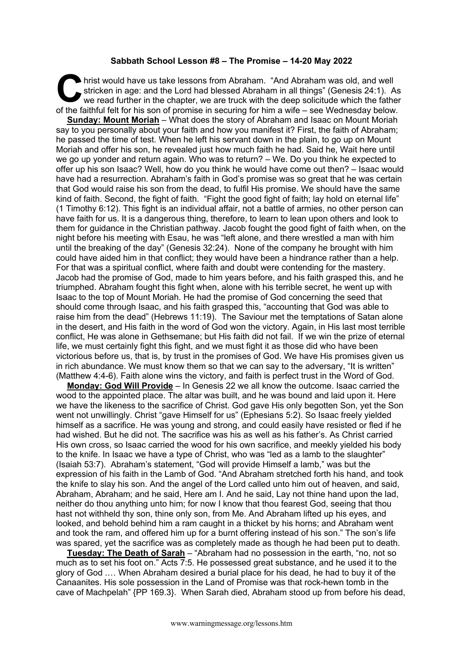## **Sabbath School Lesson #8 – The Promise – 14-20 May 2022**

hrist would have us take lessons from Abraham. "And Abraham was old, and well stricken in age: and the Lord had blessed Abraham in all things" (Genesis 24:1). As we read further in the chapter, we are truck with the deep solicitude which the father of the faithful felt for his son of promise in securing for him a wife – see Wednesday below. **C** hris

**Sunday: Mount Moriah** – What does the story of Abraham and Isaac on Mount Moriah say to you personally about your faith and how you manifest it? First, the faith of Abraham; he passed the time of test. When he left his servant down in the plain, to go up on Mount Moriah and offer his son, he revealed just how much faith he had. Said he, Wait here until we go up yonder and return again. Who was to return? – We. Do you think he expected to offer up his son Isaac? Well, how do you think he would have come out then? – Isaac would have had a resurrection. Abraham's faith in God's promise was so great that he was certain that God would raise his son from the dead, to fulfil His promise. We should have the same kind of faith. Second, the fight of faith. "Fight the good fight of faith; lay hold on eternal life" (1 Timothy 6:12). This fight is an individual affair, not a battle of armies, no other person can have faith for us. It is a dangerous thing, therefore, to learn to lean upon others and look to them for guidance in the Christian pathway. Jacob fought the good fight of faith when, on the night before his meeting with Esau, he was "left alone, and there wrestled a man with him until the breaking of the day" (Genesis 32:24). None of the company he brought with him could have aided him in that conflict; they would have been a hindrance rather than a help. For that was a spiritual conflict, where faith and doubt were contending for the mastery. Jacob had the promise of God, made to him years before, and his faith grasped this, and he triumphed. Abraham fought this fight when, alone with his terrible secret, he went up with Isaac to the top of Mount Moriah. He had the promise of God concerning the seed that should come through Isaac, and his faith grasped this, "accounting that God was able to raise him from the dead" (Hebrews 11:19). The Saviour met the temptations of Satan alone in the desert, and His faith in the word of God won the victory. Again, in His last most terrible conflict, He was alone in Gethsemane; but His faith did not fail. If we win the prize of eternal life, we must certainly fight this fight, and we must fight it as those did who have been victorious before us, that is, by trust in the promises of God. We have His promises given us in rich abundance. We must know them so that we can say to the adversary, "It is written" (Matthew 4:4-6). Faith alone wins the victory, and faith is perfect trust in the Word of God.

**Monday: God Will Provide** – In Genesis 22 we all know the outcome. Isaac carried the wood to the appointed place. The altar was built, and he was bound and laid upon it. Here we have the likeness to the sacrifice of Christ. God gave His only begotten Son, yet the Son went not unwillingly. Christ "gave Himself for us" (Ephesians 5:2). So Isaac freely yielded himself as a sacrifice. He was young and strong, and could easily have resisted or fled if he had wished. But he did not. The sacrifice was his as well as his father's. As Christ carried His own cross, so Isaac carried the wood for his own sacrifice, and meekly yielded his body to the knife. In Isaac we have a type of Christ, who was "led as a lamb to the slaughter" (Isaiah 53:7). Abraham's statement, "God will provide Himself a lamb," was but the expression of his faith in the Lamb of God. "And Abraham stretched forth his hand, and took the knife to slay his son. And the angel of the Lord called unto him out of heaven, and said, Abraham, Abraham; and he said, Here am I. And he said, Lay not thine hand upon the lad, neither do thou anything unto him; for now I know that thou fearest God, seeing that thou hast not withheld thy son, thine only son, from Me. And Abraham lifted up his eyes, and looked, and behold behind him a ram caught in a thicket by his horns; and Abraham went and took the ram, and offered him up for a burnt offering instead of his son." The son's life was spared, yet the sacrifice was as completely made as though he had been put to death.

**Tuesday: The Death of Sarah** – "Abraham had no possession in the earth, "no, not so much as to set his foot on." Acts 7:5. He possessed great substance, and he used it to the glory of God .… When Abraham desired a burial place for his dead, he had to buy it of the Canaanites. His sole possession in the Land of Promise was that rock-hewn tomb in the cave of Machpelah" {PP 169.3}. When Sarah died, Abraham stood up from before his dead,